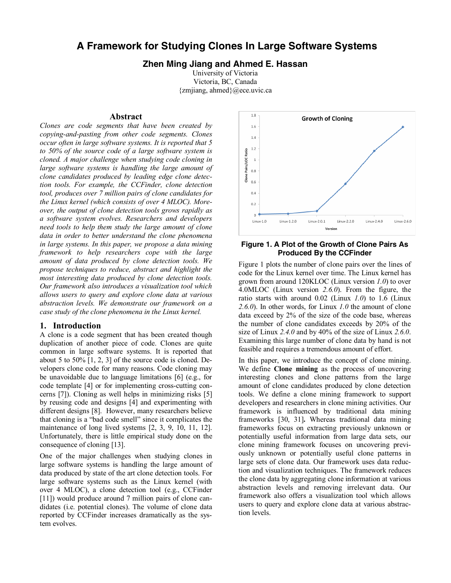# **A Framework for Studying Clones In Large Software Systems**

## **Zhen Ming Jiang and Ahmed E. Hassan**

University of Victoria Victoria, BC, Canada {zmjiang, ahmed}@ece.uvic.ca

### **Abstract**

*Clones are code segments that have been created by copying-and-pasting from other code segments. Clones occur often in large software systems. It is reported that 5 to 50% of the source code of a large software system is cloned. A major challenge when studying code cloning in large software systems is handling the large amount of clone candidates produced by leading edge clone detection tools. For example, the CCFinder, clone detection tool, produces over 7 million pairs of clone candidates for the Linux kernel (which consists of over 4 MLOC). Moreover, the output of clone detection tools grows rapidly as a software system evolves. Researchers and developers need tools to help them study the large amount of clone data in order to better understand the clone phenomena in large systems. In this paper, we propose a data mining framework to help researchers cope with the large amount of data produced by clone detection tools. We propose techniques to reduce, abstract and highlight the most interesting data produced by clone detection tools. Our framework also introduces a visualization tool which allows users to query and explore clone data at various abstraction levels. We demonstrate our framework on a case study of the clone phenomena in the Linux kernel.* 

#### **1. Introduction**

A clone is a code segment that has been created though duplication of another piece of code. Clones are quite common in large software systems. It is reported that about 5 to 50% [1, 2, 3] of the source code is cloned. Developers clone code for many reasons. Code cloning may be unavoidable due to language limitations [6] (e.g., for code template [4] or for implementing cross-cutting concerns [7]). Cloning as well helps in minimizing risks [5] by reusing code and designs [4] and experimenting with different designs [8]. However, many researchers believe that cloning is a "bad code smell" since it complicates the maintenance of long lived systems [2, 3, 9, 10, 11, 12]. Unfortunately, there is little empirical study done on the consequence of cloning [13].

One of the major challenges when studying clones in large software systems is handling the large amount of data produced by state of the art clone detection tools. For large software systems such as the Linux kernel (with over 4 MLOC), a clone detection tool (e.g., CCFinder [11]) would produce around 7 million pairs of clone candidates (i.e. potential clones). The volume of clone data reported by CCFinder increases dramatically as the system evolves.



### **Figure 1. A Plot of the Growth of Clone Pairs As Produced By the CCFinder**

Figure 1 plots the number of clone pairs over the lines of code for the Linux kernel over time. The Linux kernel has grown from around 120KLOC (Linux version *1.0*) to over 4.0MLOC (Linux version *2.6.0*). From the figure, the ratio starts with around 0.02 (Linux *1.0*) to 1.6 (Linux *2.6.0*). In other words, for Linux *1.0* the amount of clone data exceed by 2% of the size of the code base, whereas the number of clone candidates exceeds by 20% of the size of Linux *2.4.0* and by 40% of the size of Linux *2.6.0*. Examining this large number of clone data by hand is not feasible and requires a tremendous amount of effort.

In this paper, we introduce the concept of clone mining. We define **Clone mining** as the process of uncovering interesting clones and clone patterns from the large amount of clone candidates produced by clone detection tools. We define a clone mining framework to support developers and researchers in clone mining activities. Our framework is influenced by traditional data mining frameworks [30, 31]**.** Whereas traditional data mining frameworks focus on extracting previously unknown or potentially useful information from large data sets, our clone mining framework focuses on uncovering previously unknown or potentially useful clone patterns in large sets of clone data. Our framework uses data reduction and visualization techniques. The framework reduces the clone data by aggregating clone information at various abstraction levels and removing irrelevant data. Our framework also offers a visualization tool which allows users to query and explore clone data at various abstraction levels.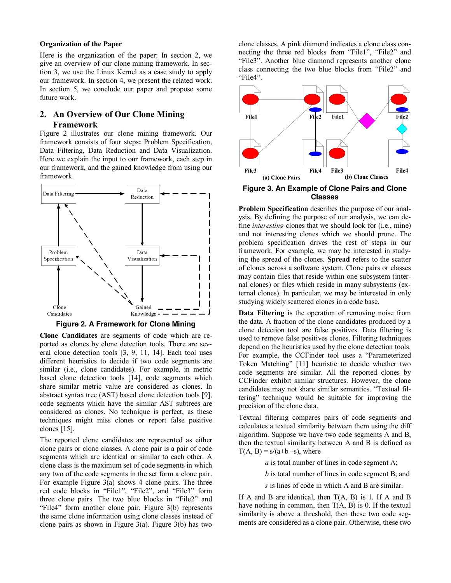#### **Organization of the Paper**

Here is the organization of the paper: In section 2, we give an overview of our clone mining framework. In section 3, we use the Linux Kernel as a case study to apply our framework. In section 4, we present the related work. In section 5, we conclude our paper and propose some future work.

## **2. An Overview of Our Clone Mining Framework**

Figure 2 illustrates our clone mining framework. Our framework consists of four steps**:** Problem Specification, Data Filtering, Data Reduction and Data Visualization. Here we explain the input to our framework, each step in our framework, and the gained knowledge from using our framework.



**Figure 2. A Framework for Clone Mining** 

**Clone Candidates** are segments of code which are reported as clones by clone detection tools. There are several clone detection tools [3, 9, 11, 14]. Each tool uses different heuristics to decide if two code segments are similar (i.e., clone candidates). For example, in metric based clone detection tools [14], code segments which share similar metric value are considered as clones. In abstract syntax tree (AST) based clone detection tools [9], code segments which have the similar AST subtrees are considered as clones. No technique is perfect, as these techniques might miss clones or report false positive clones [15].

The reported clone candidates are represented as either clone pairs or clone classes. A clone pair is a pair of code segments which are identical or similar to each other. A clone class is the maximum set of code segments in which any two of the code segments in the set form a clone pair. For example Figure 3(a) shows 4 clone pairs. The three red code blocks in "File1", "File2", and "File3" form three clone pairs. The two blue blocks in "File2" and "File4" form another clone pair. Figure 3(b) represents the same clone information using clone classes instead of clone pairs as shown in Figure  $3(a)$ . Figure  $3(b)$  has two clone classes. A pink diamond indicates a clone class connecting the three red blocks from "File1", "File2" and "File3". Another blue diamond represents another clone class connecting the two blue blocks from "File2" and "File4".



### **Figure 3. An Example of Clone Pairs and Clone Classes**

**Problem Specification** describes the purpose of our analysis. By defining the purpose of our analysis, we can define *interesting* clones that we should look for (*i.e.*, mine) and not interesting clones which we should prune. The problem specification drives the rest of steps in our framework. For example, we may be interested in studying the spread of the clones. **Spread** refers to the scatter of clones across a software system. Clone pairs or classes may contain files that reside within one subsystem (internal clones) or files which reside in many subsystems (external clones). In particular, we may be interested in only studying widely scattered clones in a code base.

**Data Filtering** is the operation of removing noise from the data. A fraction of the clone candidates produced by a clone detection tool are false positives. Data filtering is used to remove false positives clones. Filtering techniques depend on the heuristics used by the clone detection tools. For example, the CCFinder tool uses a "Parameterized Token Matching" [11] heuristic to decide whether two code segments are similar. All the reported clones by CCFinder exhibit similar structures. However, the clone candidates may not share similar semantics. "Textual filtering" technique would be suitable for improving the precision of the clone data.

Textual filtering compares pairs of code segments and calculates a textual similarity between them using the diff algorithm. Suppose we have two code segments A and B, then the textual similarity between A and B is defined as  $T(A, B) = s/(a+b-s)$ , where

*a* is total number of lines in code segment A;

*b* is total number of lines in code segment B; and

*s* is lines of code in which A and B are similar.

If A and B are identical, then  $T(A, B)$  is 1. If A and B have nothing in common, then  $T(A, B)$  is 0. If the textual similarity is above a threshold, then these two code segments are considered as a clone pair. Otherwise, these two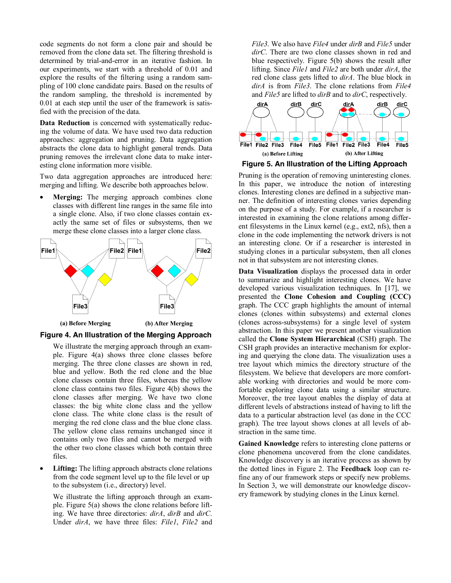code segments do not form a clone pair and should be removed from the clone data set. The filtering threshold is determined by trial-and-error in an iterative fashion. In our experiments, we start with a threshold of 0.01 and explore the results of the filtering using a random sampling of 100 clone candidate pairs. Based on the results of the random sampling, the threshold is incremented by 0.01 at each step until the user of the framework is satisfied with the precision of the data.

**Data Reduction** is concerned with systematically reducing the volume of data. We have used two data reduction approaches: aggregation and pruning. Data aggregation abstracts the clone data to highlight general trends. Data pruning removes the irrelevant clone data to make interesting clone information more visible.

Two data aggregation approaches are introduced here: merging and lifting. We describe both approaches below.

**Merging:** The merging approach combines clone classes with different line ranges in the same file into a single clone. Also, if two clone classes contain exactly the same set of files or subsystems, then we merge these clone classes into a larger clone class.





We illustrate the merging approach through an example. Figure 4(a) shows three clone classes before merging. The three clone classes are shown in red, blue and yellow. Both the red clone and the blue clone classes contain three files, whereas the yellow clone class contains two files. Figure 4(b) shows the clone classes after merging. We have two clone classes: the big white clone class and the yellow clone class. The white clone class is the result of merging the red clone class and the blue clone class. The yellow clone class remains unchanged since it contains only two files and cannot be merged with the other two clone classes which both contain three files.

**Lifting:** The lifting approach abstracts clone relations from the code segment level up to the file level or up to the subsystem (i.e., directory) level.

We illustrate the lifting approach through an example. Figure 5(a) shows the clone relations before lifting. We have three directories: *dirA*, *dirB* and *dirC*. Under *dirA*, we have three files: *File1*, *File2* and *File3*. We also have *File4* under *dirB* and *File5* under *dirC*. There are two clone classes shown in red and blue respectively. Figure 5(b) shows the result after lifting. Since *File1* and *File2* are both under *dirA*, the red clone class gets lifted to *dirA*. The blue block in *dirA* is from *File3*. The clone relations from *File4* and *File5* are lifted to *dirB* and to *dirC*, respectively.



#### **Figure 5. An Illustration of the Lifting Approach**

Pruning is the operation of removing uninteresting clones. In this paper, we introduce the notion of interesting clones. Interesting clones are defined in a subjective manner. The definition of interesting clones varies depending on the purpose of a study. For example, if a researcher is interested in examining the clone relations among different filesystems in the Linux kernel (e.g., ext2, nfs), then a clone in the code implementing the network drivers is not an interesting clone. Or if a researcher is interested in studying clones in a particular subsystem, then all clones not in that subsystem are not interesting clones.

**Data Visualization** displays the processed data in order to summarize and highlight interesting clones. We have developed various visualization techniques. In [17], we presented the **Clone Cohesion and Coupling (CCC)**  graph. The CCC graph highlights the amount of internal clones (clones within subsystems) and external clones (clones across-subsystems) for a single level of system abstraction. In this paper we present another visualization called the **Clone System Hierarchical** (CSH) graph. The CSH graph provides an interactive mechanism for exploring and querying the clone data. The visualization uses a tree layout which mimics the directory structure of the filesystem. We believe that developers are more comfortable working with directories and would be more comfortable exploring clone data using a similar structure. Moreover, the tree layout enables the display of data at different levels of abstractions instead of having to lift the data to a particular abstraction level (as done in the CCC graph). The tree layout shows clones at all levels of abstraction in the same time.

**Gained Knowledge** refers to interesting clone patterns or clone phenomena uncovered from the clone candidates. Knowledge discovery is an iterative process as shown by the dotted lines in Figure 2. The **Feedback** loop can refine any of our framework steps or specify new problems. In Section 3, we will demonstrate our knowledge discovery framework by studying clones in the Linux kernel.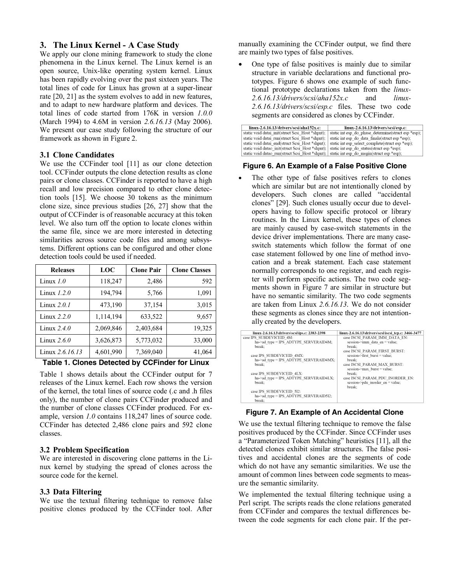## **3. The Linux Kernel - A Case Study**

We apply our clone mining framework to study the clone phenomena in the Linux kernel. The Linux kernel is an open source, Unix-like operating system kernel. Linux has been rapidly evolving over the past sixteen years. The total lines of code for Linux has grown at a super-linear rate [20, 21] as the system evolves to add in new features, and to adapt to new hardware platform and devices. The total lines of code started from 176K in version *1.0.0* (March 1994) to 4.6M in version *2.6.16.13* (May 2006). We present our case study following the structure of our framework as shown in Figure 2.

### **3.1 Clone Candidates**

We use the CCFinder tool [11] as our clone detection tool. CCFinder outputs the clone detection results as clone pairs or clone classes. CCFinder is reported to have a high recall and low precision compared to other clone detection tools [15]. We choose 30 tokens as the minimum clone size, since previous studies [26, 27] show that the output of CCFinder is of reasonable accuracy at this token level. We also turn off the option to locate clones within the same file, since we are more interested in detecting similarities across source code files and among subsystems. Different options can be configured and other clone detection tools could be used if needed.

| <b>Releases</b> | <b>LOC</b> | <b>Clone Pair</b> | <b>Clone Classes</b> |
|-----------------|------------|-------------------|----------------------|
| Linux $1.0$     | 118,247    | 2,486             | 592                  |
| Linux $1.2.0$   | 194,794    | 5,766             | 1,091                |
| Linux $2.0.1$   | 473,190    | 37,154            | 3,015                |
| Linux $2.2.0$   | 1,114,194  | 633,522           | 9,657                |
| Linux $2.4.0$   | 2,069,846  | 2,403,684         | 19,325               |
| Linux $2.6.0$   | 3,626,873  | 5,773,032         | 33,000               |
| Linux 2.6.16.13 | 4,601,990  | 7,369,040         | 41,064               |

**Table 1. Clones Detected by CCFinder for Linux** 

Table 1 shows details about the CCFinder output for 7 releases of the Linux kernel. Each row shows the version of the kernel, the total lines of source code (.c and .h files only), the number of clone pairs CCFinder produced and the number of clone classes CCFinder produced. For example, version *1.0* contains 118,247 lines of source code. CCFinder has detected 2,486 clone pairs and 592 clone classes.

#### **3.2 Problem Specification**

We are interested in discovering clone patterns in the Linux kernel by studying the spread of clones across the source code for the kernel.

### **3.3 Data Filtering**

We use the textual filtering technique to remove false positive clones produced by the CCFinder tool. After manually examining the CCFinder output, we find there are mainly two types of false positives.

• One type of false positives is mainly due to similar structure in variable declarations and functional prototypes. Figure 6 shows one example of such functional prototype declarations taken from the *linux-2.6.16.13/drivers/scsi/aha152x.c* and *linux-2.6.16.13/drivers/scsi/esp.c* files. These two code segments are considered as clones by CCFinder.

linux-2.6.16.13/drivers/scsi/aha152x.c: linux-2.6.16.13/drivers/scsi/esp.c: static int esp\_do\_phase\_determine(struct esp \*esp);<br>static int esp\_do\_phase\_determine(struct esp \*esp); static void datai init(struct Sesi Host \*shont): static void datai\_run(struct Scsi\_Host \*shpnt); static void datai\_end(struct Scsi\_Host \*shpnt); static int esp\_select\_complete(struct esp \*esp); static void datao init(struct Scsi Host \*shpnt); static int esp do status(struct esp \*esp); static void datao\_run(struct Sesi\_Host \*shpnt); static int esp\_do\_msgin(struct esp \*esp);

### **Figure 6. An Example of a False Positive Clone**

The other type of false positives refers to clones which are similar but are not intentionally cloned by developers. Such clones are called "accidental clones" [29]. Such clones usually occur due to developers having to follow specific protocol or library routines. In the Linux kernel, these types of clones are mainly caused by case-switch statements in the device driver implementations. There are many caseswitch statements which follow the format of one case statement followed by one line of method invocation and a break statement. Each case statement normally corresponds to one register, and each register will perform specific actions. The two code segments shown in Figure 7 are similar in structure but have no semantic similarity. The two code segments are taken from Linux *2.6.16.13*. We do not consider these segments as clones since they are not intentionally created by the developers.

| linux-2.6.16.13\drivers\scsi\ips.c: 2383-2398 | linux-2.6.16.13\drivers\scsi\iscsi_tcp.c: 3466-3477 |
|-----------------------------------------------|-----------------------------------------------------|
| case IPS SUBDEVICEID 4M:                      | case ISCSI PARAM IMM DATA EN:                       |
| ha->ad type = IPS_ADTYPE_SERVERAID4M;         | session->imm data en = value;                       |
| break:                                        | break:                                              |
|                                               | case ISCSI PARAM FIRST BURST:                       |
| case IPS SUBDEVICEID 4MX:                     | session->first burst = value;                       |
| ha->ad type = IPS ADTYPE SERVERAID4MX;        | break:                                              |
| break:                                        | case ISCSI PARAM MAX BURST:                         |
|                                               | session-> $max$ burst = value;                      |
| case IPS SUBDEVICEID 4LX:                     | break:                                              |
| ha->ad type = IPS ADTYPE SERVERAID4LX;        | case ISCSI PARAM PDU INORDER EN:                    |
| break:                                        | session->pdu inorder en = value;                    |
|                                               | break:                                              |
| case IPS SUBDEVICEID 512:                     |                                                     |
| ha->ad type = IPS ADTYPE SERVERAID5I2;        |                                                     |
| break:                                        |                                                     |

### **Figure 7. An Example of An Accidental Clone**

We use the textual filtering technique to remove the false positives produced by the CCFinder. Since CCFinder uses a "Parameterized Token Matching" heuristics [11], all the detected clones exhibit similar structures. The false positives and accidental clones are the segments of code which do not have any semantic similarities. We use the amount of common lines between code segments to measure the semantic similarity.

We implemented the textual filtering technique using a Perl script. The scripts reads the clone relations generated from CCFinder and compares the textual differences between the code segments for each clone pair. If the per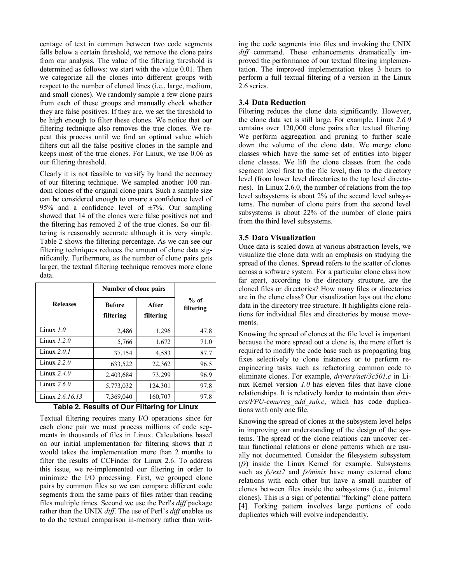centage of text in common between two code segments falls below a certain threshold, we remove the clone pairs from our analysis. The value of the filtering threshold is determined as follows: we start with the value 0.01. Then we categorize all the clones into different groups with respect to the number of cloned lines (i.e., large, medium, and small clones). We randomly sample a few clone pairs from each of these groups and manually check whether they are false positives. If they are, we set the threshold to be high enough to filter these clones. We notice that our filtering technique also removes the true clones. We repeat this process until we find an optimal value which filters out all the false positive clones in the sample and keeps most of the true clones. For Linux, we use 0.06 as our filtering threshold.

Clearly it is not feasible to versify by hand the accuracy of our filtering technique. We sampled another 100 random clones of the original clone pairs. Such a sample size can be considered enough to ensure a confidence level of 95% and a confidence level of  $\pm 7$ %. Our sampling showed that 14 of the clones were false positives not and the filtering has removed 2 of the true clones. So our filtering is reasonably accurate although it is very simple. Table 2 shows the filtering percentage. As we can see our filtering techniques reduces the amount of clone data significantly. Furthermore, as the number of clone pairs gets larger, the textual filtering technique removes more clone data.

|                 | Number of clone pairs      |                    |                     |
|-----------------|----------------------------|--------------------|---------------------|
| <b>Releases</b> | <b>Before</b><br>filtering | After<br>filtering | $%$ of<br>filtering |
| Linux $1.0$     | 2,486                      | 1,296              | 47.8                |
| Linux $1.2.0$   | 5,766                      | 1,672              | 71.0                |
| Linux $2.0.1$   | 37,154                     | 4,583              | 87.7                |
| Linux $2.2.0$   | 633,522                    | 22,362             | 96.5                |
| Linux $2.4.0$   | 2,403,684                  | 73,299             | 96.9                |
| Linux $2.6.0$   | 5,773,032                  | 124,301            | 97.8                |
| Linux 2.6.16.13 | 7,369,040                  | 160,707            | 97.8                |

### **Table 2. Results of Our Filtering for Linux**

Textual filtering requires many I/O operations since for each clone pair we must process millions of code segments in thousands of files in Linux. Calculations based on our initial implementation for filtering shows that it would takes the implementation more than 2 months to filter the results of CCFinder for Linux 2.6. To address this issue, we re-implemented our filtering in order to minimize the I/O processing. First, we grouped clone pairs by common files so we can compare different code segments from the same pairs of files rather than reading files multiple times. Second we use the Perl's *diff* package rather than the UNIX *diff*. The use of Perl's *diff* enables us to do the textual comparison in-memory rather than writing the code segments into files and invoking the UNIX *diff* command. These enhancements dramatically improved the performance of our textual filtering implementation. The improved implementation takes 3 hours to perform a full textual filtering of a version in the Linux 2.6 series.

#### **3.4 Data Reduction**

Filtering reduces the clone data significantly. However, the clone data set is still large. For example, Linux *2.6.0* contains over 120,000 clone pairs after textual filtering. We perform aggregation and pruning to further scale down the volume of the clone data. We merge clone classes which have the same set of entities into bigger clone classes. We lift the clone classes from the code segment level first to the file level, then to the directory level (from lower level directories to the top level directories). In Linux 2.6.0, the number of relations from the top level subsystems is about 2% of the second level subsystems. The number of clone pairs from the second level subsystems is about 22% of the number of clone pairs from the third level subsystems.

### **3.5 Data Visualization**

Once data is scaled down at various abstraction levels, we visualize the clone data with an emphasis on studying the spread of the clones. **Spread** refers to the scatter of clones across a software system. For a particular clone class how far apart, according to the directory structure, are the cloned files or directories? How many files or directories are in the clone class? Our visualization lays out the clone data in the directory tree structure. It highlights clone relations for individual files and directories by mouse movements.

Knowing the spread of clones at the file level is important because the more spread out a clone is, the more effort is required to modify the code base such as propagating bug fixes selectively to clone instances or to perform reengineering tasks such as refactoring common code to eliminate clones. For example, *drivers/net/3c501.c* in Linux Kernel version *1.0* has eleven files that have clone relationships. It is relatively harder to maintain than *drivers/FPU-emu/reg\_add\_sub.c*, which has code duplications with only one file.

Knowing the spread of clones at the subsystem level helps in improving our understanding of the design of the systems. The spread of the clone relations can uncover certain functional relations or clone patterns which are usually not documented. Consider the filesystem subsystem (*fs*) inside the Linux Kernel for example. Subsystems such as *fs/ext2* and *fs/minix* have many external clone relations with each other but have a small number of clones between files inside the subsystems (i.e., internal clones). This is a sign of potential "forking" clone pattern [4]. Forking pattern involves large portions of code duplicates which will evolve independently.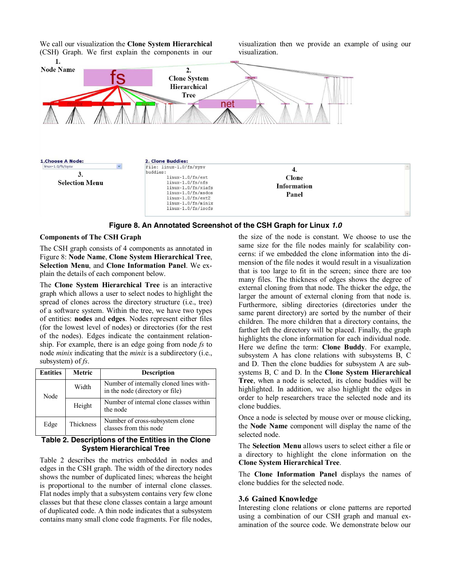We call our visualization the **Clone System Hierarchical**  (CSH) Graph. We first explain the components in our visualization then we provide an example of using our visualization.



**Figure 8. An Annotated Screenshot of the CSH Graph for Linux** *1.0*

#### **Components of The CSH Graph**

The CSH graph consists of 4 components as annotated in Figure 8: **Node Name**, **Clone System Hierarchical Tree**, **Selection Menu**, and **Clone Information Panel**. We explain the details of each component below.

The **Clone System Hierarchical Tree** is an interactive graph which allows a user to select nodes to highlight the spread of clones across the directory structure (i.e., tree) of a software system. Within the tree, we have two types of entities: **nodes** and **edges**. Nodes represent either files (for the lowest level of nodes) or directories (for the rest of the nodes). Edges indicate the containment relationship. For example, there is an edge going from node *fs* to node *minix* indicating that the *minix* is a subdirectory (i.e., subsystem) of *fs*.

| <b>Entities</b> | Metric    | <b>Description</b>                                                         |
|-----------------|-----------|----------------------------------------------------------------------------|
| Node            | Width     | Number of internally cloned lines with-<br>in the node (directory or file) |
|                 | Height    | Number of internal clone classes within<br>the node                        |
| Edge            | Thickness | Number of cross-subsystem clone<br>classes from this node                  |

### **Table 2. Descriptions of the Entities in the Clone System Hierarchical Tree**

Table 2 describes the metrics embedded in nodes and edges in the CSH graph. The width of the directory nodes shows the number of duplicated lines; whereas the height is proportional to the number of internal clone classes. Flat nodes imply that a subsystem contains very few clone classes but that these clone classes contain a large amount of duplicated code. A thin node indicates that a subsystem contains many small clone code fragments. For file nodes,

the size of the node is constant. We choose to use the same size for the file nodes mainly for scalability concerns: if we embedded the clone information into the dimension of the file nodes it would result in a visualization that is too large to fit in the screen; since there are too many files. The thickness of edges shows the degree of external cloning from that node. The thicker the edge, the larger the amount of external cloning from that node is. Furthermore, sibling directories (directories under the same parent directory) are sorted by the number of their children. The more children that a directory contains, the farther left the directory will be placed. Finally, the graph highlights the clone information for each individual node. Here we define the term: **Clone Buddy**. For example, subsystem A has clone relations with subsystems B, C and D. Then the clone buddies for subsystem A are subsystems B, C and D. In the **Clone System Hierarchical Tree**, when a node is selected, its clone buddies will be highlighted. In addition, we also highlight the edges in order to help researchers trace the selected node and its clone buddies.

Once a node is selected by mouse over or mouse clicking, the **Node Name** component will display the name of the selected node.

The **Selection Menu** allows users to select either a file or a directory to highlight the clone information on the **Clone System Hierarchical Tree**.

The **Clone Information Panel** displays the names of clone buddies for the selected node.

### **3.6 Gained Knowledge**

Interesting clone relations or clone patterns are reported using a combination of our CSH graph and manual examination of the source code. We demonstrate below our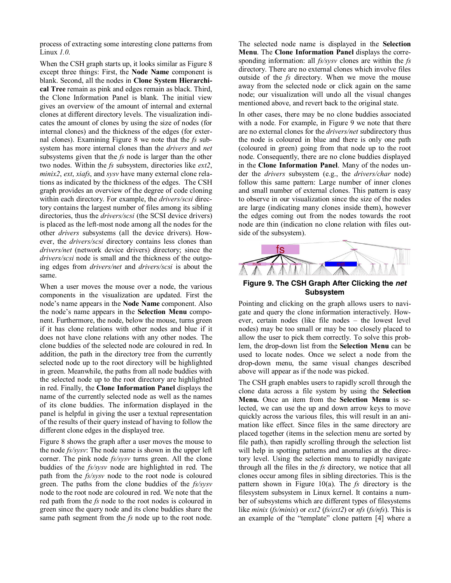process of extracting some interesting clone patterns from Linux *1.0*.

When the CSH graph starts up, it looks similar as Figure 8 except three things: First, the **Node Name** component is blank. Second, all the nodes in **Clone System Hierarchical Tree** remain as pink and edges remain as black. Third, the Clone Information Panel is blank. The initial view gives an overview of the amount of internal and external clones at different directory levels. The visualization indicates the amount of clones by using the size of nodes (for internal clones) and the thickness of the edges (for external clones). Examining Figure 8 we note that the *fs* subsystem has more internal clones than the *drivers* and *net*  subsystems given that the *fs* node is larger than the other two nodes. Within the *fs* subsystem, directories like *ext2*, *minix2*, *ext*, *xiafs*, and *sysv* have many external clone relations as indicated by the thickness of the edges. The CSH graph provides an overview of the degree of code cloning within each directory. For example, the *drivers/scsi* directory contains the largest number of files among its sibling directories, thus the *drivers/scsi* (the SCSI device drivers) is placed as the left-most node among all the nodes for the other *drivers* subsystems (all the device drivers). However, the *drivers/scsi* directory contains less clones than *drivers/net* (network device drivers) directory; since the *drivers/scsi* node is small and the thickness of the outgoing edges from *drivers/net* and *drivers/scsi* is about the same.

When a user moves the mouse over a node, the various components in the visualization are updated. First the node's name appears in the **Node Name** component. Also the node's name appears in the **Selection Menu** component. Furthermore, the node, below the mouse, turns green if it has clone relations with other nodes and blue if it does not have clone relations with any other nodes. The clone buddies of the selected node are coloured in red. In addition, the path in the directory tree from the currently selected node up to the root directory will be highlighted in green. Meanwhile, the paths from all node buddies with the selected node up to the root directory are highlighted in red. Finally, the **Clone Information Panel** displays the name of the currently selected node as well as the names of its clone buddies. The information displayed in the panel is helpful in giving the user a textual representation of the results of their query instead of having to follow the different clone edges in the displayed tree.

Figure 8 shows the graph after a user moves the mouse to the node *fs/sysv*: The node name is shown in the upper left corner. The pink node *fs/sysv* turns green. All the clone buddies of the *fs/sysv* node are highlighted in red. The path from the *fs/sysv* node to the root node is coloured green. The paths from the clone buddies of the *fs/sysv* node to the root node are coloured in red. We note that the red path from the *fs* node to the root nodes is coloured in green since the query node and its clone buddies share the same path segment from the *fs* node up to the root node.

The selected node name is displayed in the **Selection Menu**. The **Clone Information Panel** displays the corresponding information: all *fs/sysv* clones are within the *fs* directory. There are no external clones which involve files outside of the *fs* directory. When we move the mouse away from the selected node or click again on the same node; our visualization will undo all the visual changes mentioned above, and revert back to the original state.

In other cases, there may be no clone buddies associated with a node. For example, in Figure 9 we note that there are no external clones for the *drivers/net* subdirectory thus the node is coloured in blue and there is only one path (coloured in green) going from that node up to the root node. Consequently, there are no clone buddies displayed in the **Clone Information Panel**. Many of the nodes under the *drivers* subsystem (e.g., the *drivers/char* node) follow this same pattern: Large number of inner clones and small number of external clones. This pattern is easy to observe in our visualization since the size of the nodes are large (indicating many clones inside them), however the edges coming out from the nodes towards the root node are thin (indication no clone relation with files outside of the subsystem).



## **Figure 9. The CSH Graph After Clicking the** *net*  **Subsystem**

Pointing and clicking on the graph allows users to navigate and query the clone information interactively. However, certain nodes (like file nodes – the lowest level nodes) may be too small or may be too closely placed to allow the user to pick them correctly. To solve this problem, the drop-down list from the **Selection Menu** can be used to locate nodes. Once we select a node from the drop-down menu, the same visual changes described above will appear as if the node was picked.

The CSH graph enables users to rapidly scroll through the clone data across a file system by using the **Selection Menu.** Once an item from the **Selection Menu** is selected, we can use the up and down arrow keys to move quickly across the various files, this will result in an animation like effect. Since files in the same directory are placed together (items in the selection menu are sorted by file path), then rapidly scrolling through the selection list will help in spotting patterns and anomalies at the directory level. Using the selection menu to rapidly navigate through all the files in the *fs* directory, we notice that all clones occur among files in sibling directories. This is the pattern shown in Figure 10(a). The *fs* directory is the filesystem subsystem in Linux kernel. It contains a number of subsystems which are different types of filesystems like *minix* (*fs/minix*) or *ext2* (*fs/ext2*) or *nfs* (*fs/nfs*). This is an example of the "template" clone pattern [4] where a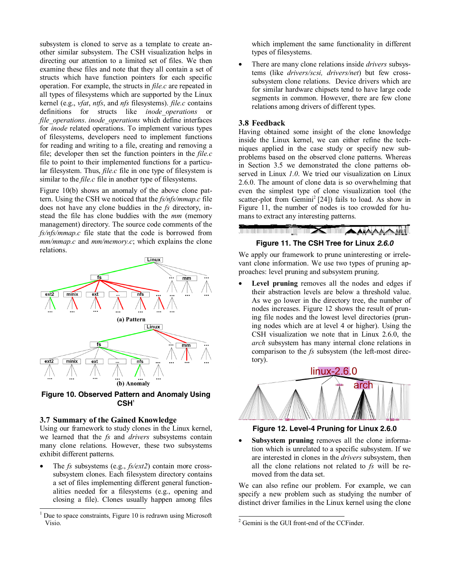subsystem is cloned to serve as a template to create another similar subsystem. The CSH visualization helps in directing our attention to a limited set of files. We then examine these files and note that they all contain a set of structs which have function pointers for each specific operation. For example, the structs in *file.c* are repeated in all types of filesystems which are supported by the Linux kernel (e.g., *vfat*, *ntfs*, and *nfs* filesystems). *file.c* contains definitions for structs like *inode\_operations* or *file\_operations*. *inode\_operations* which define interfaces for *inode* related operations. To implement various types of filesystems, developers need to implement functions for reading and writing to a file, creating and removing a file; developer then set the function pointers in the *file.c* file to point to their implemented functions for a particular filesystem. Thus, *file.c* file in one type of filesystem is similar to the *file.c* file in another type of filesystems.

Figure 10(b) shows an anomaly of the above clone pattern. Using the CSH we noticed that the *fs/nfs/mmap.c* file does not have any clone buddies in the *fs* directory, instead the file has clone buddies with the *mm* (memory management) directory. The source code comments of the *fs/nfs/mmap.c* file state that the code is borrowed from *mm/mmap.c* and *mm/memory.c*; which explains the clone relations.



**Figure 10. Observed Pattern and Anomaly Using CSH1**

#### **3.7 Summary of the Gained Knowledge**

l

Using our framework to study clones in the Linux kernel, we learned that the *fs* and *drivers* subsystems contain many clone relations. However, these two subsystems exhibit different patterns.

The *fs* subsystems (e.g., *fs/ext2*) contain more crosssubsystem clones. Each filesystem directory contains a set of files implementing different general functionalities needed for a filesystems (e.g., opening and closing a file). Clones usually happen among files

which implement the same functionality in different types of filesystems.

• There are many clone relations inside *drivers* subsystems (like *drivers/scsi, drivers/net*) but few crosssubsystem clone relations. Device drivers which are for similar hardware chipsets tend to have large code segments in common. However, there are few clone relations among drivers of different types.

### **3.8 Feedback**

Having obtained some insight of the clone knowledge inside the Linux kernel, we can either refine the techniques applied in the case study or specify new subproblems based on the observed clone patterns. Whereas in Section 3.5 we demonstrated the clone patterns observed in Linux *1.0*. We tried our visualization on Linux 2.6.0. The amount of clone data is so overwhelming that even the simplest type of clone visualization tool (the scatter-plot from Gemini<sup>2</sup> [24]) fails to load. As show in Figure 11, the number of nodes is too crowded for humans to extract any interesting patterns.

THE TELEVISION OF THE TELEVISION OF THE TELEVISION OF THE TELEVISION OF THE TELEVISION OF THE TELEVISION OF THE

# **Figure 11. The CSH Tree for Linux** *2.6.0*

We apply our framework to prune uninteresting or irrelevant clone information. We use two types of pruning approaches: level pruning and subsystem pruning.

Level pruning removes all the nodes and edges if their abstraction levels are below a threshold value. As we go lower in the directory tree, the number of nodes increases. Figure 12 shows the result of pruning file nodes and the lowest level directories (pruning nodes which are at level 4 or higher). Using the CSH visualization we note that in Linux 2.6.0, the *arch* subsystem has many internal clone relations in comparison to the *fs* subsystem (the left-most directory).



**Figure 12. Level-4 Pruning for Linux 2.6.0** 

Subsystem pruning removes all the clone information which is unrelated to a specific subsystem. If we are interested in clones in the *drivers* subsystem, then all the clone relations not related to *fs* will be removed from the data set.

We can also refine our problem. For example, we can specify a new problem such as studying the number of distinct driver families in the Linux kernel using the clone

<sup>1</sup> Due to space constraints, Figure 10 is redrawn using Microsoft Visio.

 2 Gemini is the GUI front-end of the CCFinder.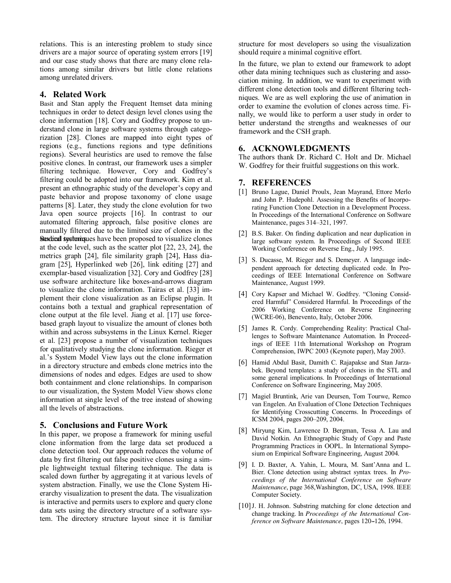relations. This is an interesting problem to study since drivers are a major source of operating system errors [19] and our case study shows that there are many clone relations among similar drivers but little clone relations among unrelated drivers.

### **4. Related Work**

Basit and Stan apply the Frequent Itemset data mining techniques in order to detect design level clones using the clone information [18]. Cory and Godfrey propose to understand clone in large software systems through categorization [28]. Clones are mapped into eight types of regions (e.g., functions regions and type definitions regions). Several heuristics are used to remove the false positive clones. In contrast, our framework uses a simpler filtering technique. However, Cory and Godfrey's filtering could be adopted into our framework. Kim et al. present an ethnographic study of the developer's copy and paste behavior and propose taxonomy of clone usage patterns [8]. Later, they study the clone evolution for two Java open source projects [16]. In contrast to our automated filtering approach, false positive clones are manually filtered due to the limited size of clones in the Steward systems, such a seen proposed to visualize clones at the code level, such as the scatter plot [22, 23, 24], the metrics graph [24], file similarity graph [24], Hass diagram [25], Hyperlinked web [26], link editing [27] and exemplar-based visualization [32]. Cory and Godfrey [28] use software architecture like boxes-and-arrows diagram to visualize the clone information. Tairas et al. [33] implement their clone visualization as an Eclipse plugin. It contains both a textual and graphical representation of clone output at the file level. Jiang et al. [17] use forcebased graph layout to visualize the amount of clones both within and across subsystems in the Linux Kernel. Rieger et al. [23] propose a number of visualization techniques for qualitatively studying the clone information. Rieger et al.'s System Model View lays out the clone information in a directory structure and embeds clone metrics into the dimensions of nodes and edges. Edges are used to show both containment and clone relationships. In comparison to our visualization, the System Model View shows clone information at single level of the tree instead of showing all the levels of abstractions.

#### **5. Conclusions and Future Work**

In this paper, we propose a framework for mining useful clone information from the large data set produced a clone detection tool. Our approach reduces the volume of data by first filtering out false positive clones using a simple lightweight textual filtering technique. The data is scaled down further by aggregating it at various levels of system abstraction. Finally, we use the Clone System Hierarchy visualization to present the data. The visualization is interactive and permits users to explore and query clone data sets using the directory structure of a software system. The directory structure layout since it is familiar structure for most developers so using the visualization should require a minimal cognitive effort.

In the future, we plan to extend our framework to adopt other data mining techniques such as clustering and association mining. In addition, we want to experiment with different clone detection tools and different filtering techniques. We are as well exploring the use of animation in order to examine the evolution of clones across time. Finally, we would like to perform a user study in order to better understand the strengths and weaknesses of our framework and the CSH graph.

#### **6. ACKNOWLEDGMENTS**

The authors thank Dr. Richard C. Holt and Dr. Michael W. Godfrey for their fruitful suggestions on this work.

### **7. REFERENCES**

- [1] Bruno Lague, Daniel Proulx, Jean Mayrand, Ettore Merlo and John P. Hudepohl. Assessing the Benefits of Incorporating Function Clone Detection in a Development Process. In Proceedings of the International Conference on Software Maintenance, pages 314–321, 1997.
- [2] B.S. Baker. On finding duplication and near duplication in large software system. In Proceedings of Second IEEE Working Conference on Reverse Eng., July 1995.
- [3] S. Ducasse, M. Rieger and S. Demeyer. A language independent approach for detecting duplicated code. In Proceedings of IEEE International Conference on Software Maintenance, August 1999.
- [4] Cory Kapser and Michael W. Godfrey. "Cloning Considered Harmful" Considered Harmful. In Proceedings of the 2006 Working Conference on Reverse Engineering (WCRE-06), Benevento, Italy, October 2006.
- [5] James R. Cordy. Comprehending Reality: Practical Challenges to Software Maintenance Automation. In Proceedings of IEEE 11th International Workshop on Program Comprehension, IWPC 2003 (Keynote paper), May 2003.
- [6] Hamid Abdul Basit, Damith C. Rajapakse and Stan Jarzabek. Beyond templates: a study of clones in the STL and some general implications. In Proceedings of International Conference on Software Engineering, May 2005.
- [7] Magiel Bruntink, Arie van Deursen, Tom Tourwe, Remco van Engelen. An Evaluation of Clone Detection Techniques for Identifying Crosscutting Concerns. In Proceedings of ICSM 2004, pages 200–209, 2004.
- [8] Miryung Kim, Lawrence D. Bergman, Tessa A. Lau and David Notkin. An Ethnographic Study of Copy and Paste Programming Practices in OOPL. In International Symposium on Empirical Software Engineering, August 2004.
- [9] I. D. Baxter, A. Yahin, L. Moura, M. Sant'Anna and L. Bier. Clone detection using abstract syntax trees. In *Proceedings of the International Conference on Software Maintenance*, page 368,Washington, DC, USA, 1998. IEEE Computer Society.
- [10] J. H. Johnson. Substring matching for clone detection and change tracking. In *Proceedings of the International Conference on Software Maintenance*, pages 120-126, 1994.